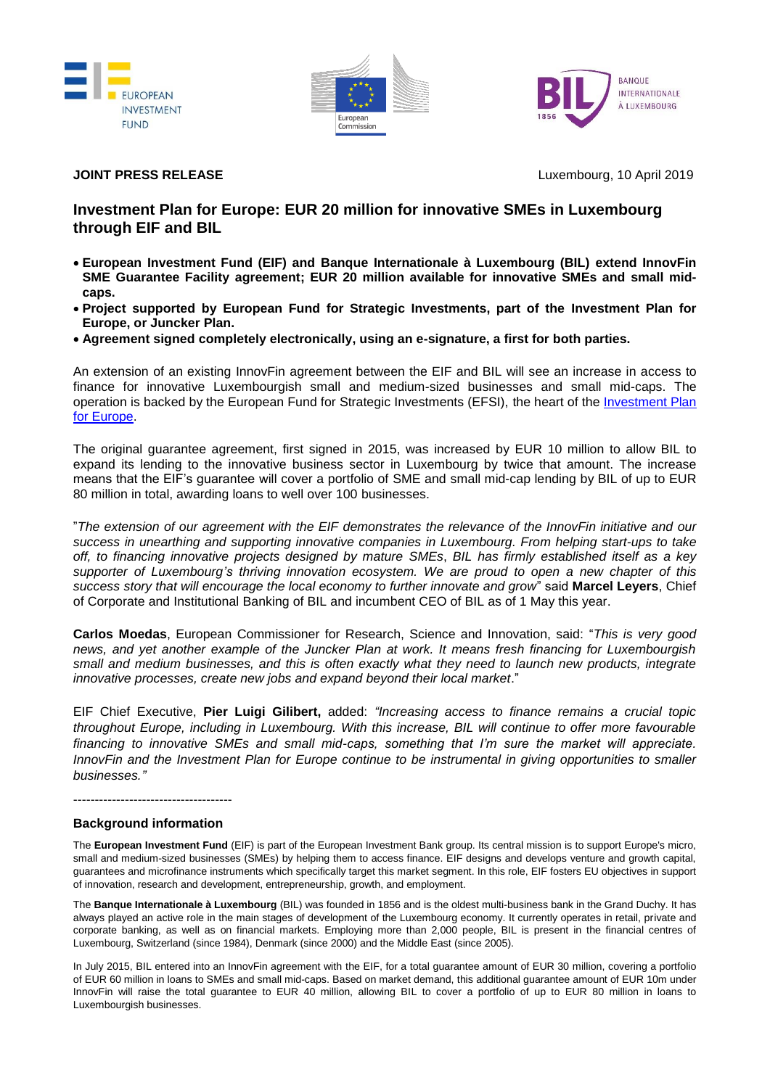





**JOINT PRESS RELEASE** Luxembourg, 10 April 2019

## **Investment Plan for Europe: EUR 20 million for innovative SMEs in Luxembourg through EIF and BIL**

- **European Investment Fund (EIF) and Banque Internationale à Luxembourg (BIL) extend InnovFin SME Guarantee Facility agreement; EUR 20 million available for innovative SMEs and small midcaps.**
- **Project supported by European Fund for Strategic Investments, part of the Investment Plan for Europe, or Juncker Plan.**
- **Agreement signed completely electronically, using an e-signature, a first for both parties.**

An extension of an existing InnovFin agreement between the EIF and BIL will see an increase in access to finance for innovative Luxembourgish small and medium-sized businesses and small mid-caps. The operation is backed by the European Fund for Strategic Investments (EFSI), the heart of the [Investment Plan](https://ec.europa.eu/commission/priorities/jobs-growth-and-investment/investment-plan_en)  [for Europe.](https://ec.europa.eu/commission/priorities/jobs-growth-and-investment/investment-plan_en)

The original guarantee agreement, first signed in 2015, was increased by EUR 10 million to allow BIL to expand its lending to the innovative business sector in Luxembourg by twice that amount. The increase means that the EIF's guarantee will cover a portfolio of SME and small mid-cap lending by BIL of up to EUR 80 million in total, awarding loans to well over 100 businesses.

"*The extension of our agreement with the EIF demonstrates the relevance of the InnovFin initiative and our success in unearthing and supporting innovative companies in Luxembourg. From helping start-ups to take off, to financing innovative projects designed by mature SMEs*, *BIL has firmly established itself as a key supporter of Luxembourg's thriving innovation ecosystem. We are proud to open a new chapter of this success story that will encourage the local economy to further innovate and grow*" said **Marcel Leyers**, Chief of Corporate and Institutional Banking of BIL and incumbent CEO of BIL as of 1 May this year.

**Carlos Moedas**, European Commissioner for Research, Science and Innovation, said: "*This is very good news, and yet another example of the Juncker Plan at work. It means fresh financing for Luxembourgish small and medium businesses, and this is often exactly what they need to launch new products, integrate innovative processes, create new jobs and expand beyond their local market*."

EIF Chief Executive, **Pier Luigi Gilibert,** added: *"Increasing access to finance remains a crucial topic throughout Europe, including in Luxembourg. With this increase, BIL will continue to offer more favourable financing to innovative SMEs and small mid-caps, something that I'm sure the market will appreciate. InnovFin and the Investment Plan for Europe continue to be instrumental in giving opportunities to smaller businesses."* 

-------------------------------------

## **Background information**

The **European Investment Fund** (EIF) is part of the European Investment Bank group. Its central mission is to support Europe's micro, small and medium-sized businesses (SMEs) by helping them to access finance. EIF designs and develops venture and growth capital, guarantees and microfinance instruments which specifically target this market segment. In this role, EIF fosters EU objectives in support of innovation, research and development, entrepreneurship, growth, and employment.

The **Banque Internationale à Luxembourg** (BIL) was founded in 1856 and is the oldest multi-business bank in the Grand Duchy. It has always played an active role in the main stages of development of the Luxembourg economy. It currently operates in retail, private and corporate banking, as well as on financial markets. Employing more than 2,000 people, BIL is present in the financial centres of Luxembourg, Switzerland (since 1984), Denmark (since 2000) and the Middle East (since 2005).

In July 2015, BIL entered into an InnovFin agreement with the EIF, for a total guarantee amount of EUR 30 million, covering a portfolio of EUR 60 million in loans to SMEs and small mid-caps. Based on market demand, this additional guarantee amount of EUR 10m under InnovFin will raise the total guarantee to EUR 40 million, allowing BIL to cover a portfolio of up to EUR 80 million in loans to Luxembourgish businesses.